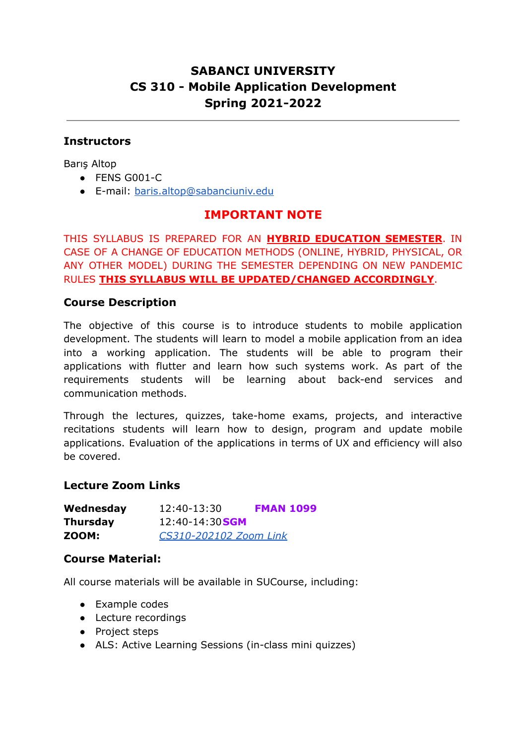# **SABANCI UNIVERSITY CS 310 - Mobile Application Development Spring 2021-2022**

### **Instructors**

Barış Altop

- FENS G001-C
- E-mail: [baris.altop@sabanciuniv.edu](mailto:baris.altop@sabanciuniv.edu)

## **IMPORTANT NOTE**

THIS SYLLABUS IS PREPARED FOR AN **HYBRID EDUCATION SEMESTER**. IN CASE OF A CHANGE OF EDUCATION METHODS (ONLINE, HYBRID, PHYSICAL, OR ANY OTHER MODEL) DURING THE SEMESTER DEPENDING ON NEW PANDEMIC RULES **THIS SYLLABUS WILL BE UPDATED/CHANGED ACCORDINGLY**.

#### **Course Description**

The objective of this course is to introduce students to mobile application development. The students will learn to model a mobile application from an idea into a working application. The students will be able to program their applications with flutter and learn how such systems work. As part of the requirements students will be learning about back-end services and communication methods.

Through the lectures, quizzes, take-home exams, projects, and interactive recitations students will learn how to design, program and update mobile applications. Evaluation of the applications in terms of UX and efficiency will also be covered.

#### **Lecture Zoom Links**

| Wednesday       | 12:40-13:30            | <b>FMAN 1099</b> |
|-----------------|------------------------|------------------|
| <b>Thursday</b> | 12:40-14:30 <b>SGM</b> |                  |
| ZOOM:           | CS310-202102 Zoom Link |                  |

#### **Course Material:**

All course materials will be available in SUCourse, including:

- Example codes
- Lecture recordings
- Project steps
- ALS: Active Learning Sessions (in-class mini quizzes)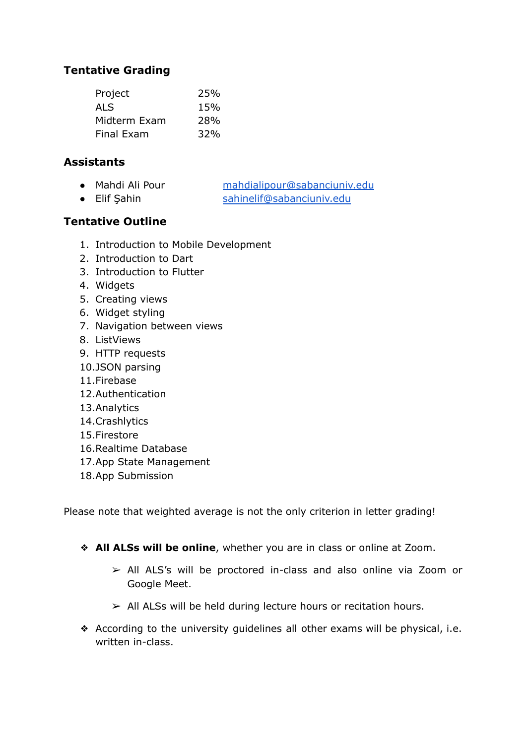# **Tentative Grading**

| Project      | 25% |
|--------------|-----|
| ALS          | 15% |
| Midterm Exam | 28% |
| Final Exam   | 32% |

### **Assistants**

- Mahdi Ali Pour [mahdialipour@sabanciuniv.edu](mailto:mahdialipour@sabanciuniv.edu)
- Elif Sahin [sahinelif@sabanciuniv.edu](mailto:sahinelif@sabanciuniv.edu)

# **Tentative Outline**

- 1. Introduction to Mobile Development
- 2. Introduction to Dart
- 3. Introduction to Flutter
- 4. Widgets
- 5. Creating views
- 6. Widget styling
- 7. Navigation between views
- 8. ListViews
- 9. HTTP requests
- 10.JSON parsing
- 11.Firebase
- 12.Authentication
- 13.Analytics
- 14.Crashlytics
- 15.Firestore
- 16.Realtime Database
- 17.App State Management
- 18.App Submission

Please note that weighted average is not the only criterion in letter grading!

- ❖ **All ALSs will be online**, whether you are in class or online at Zoom.
	- ➢ All ALS's will be proctored in-class and also online via Zoom or Google Meet.
	- $\ge$  All ALSs will be held during lecture hours or recitation hours.
- ❖ According to the university guidelines all other exams will be physical, i.e. written in-class.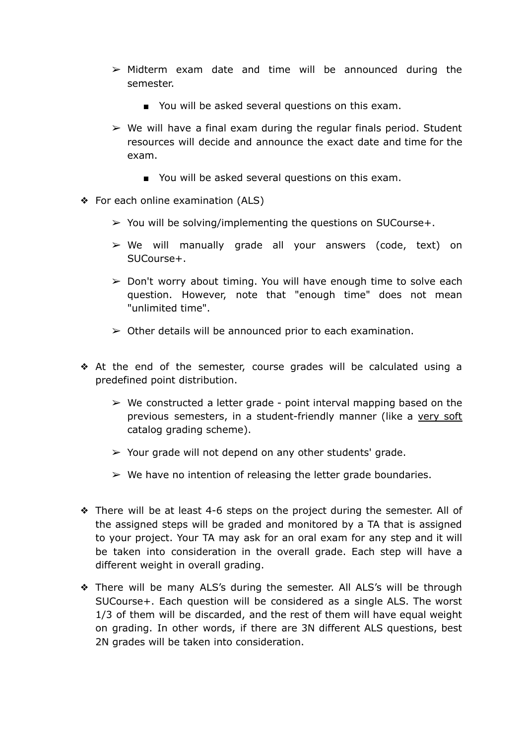- $\triangleright$  Midterm exam date and time will be announced during the semester.
	- You will be asked several questions on this exam.
- $\triangleright$  We will have a final exam during the regular finals period. Student resources will decide and announce the exact date and time for the exam.
	- You will be asked several questions on this exam.
- ❖ For each online examination (ALS)
	- $\triangleright$  You will be solving/implementing the questions on SUCourse+.
	- ➢ We will manually grade all your answers (code, text) on SUCourse+.
	- $\geq$  Don't worry about timing. You will have enough time to solve each question. However, note that "enough time" does not mean "unlimited time".
	- $\geq$  Other details will be announced prior to each examination.
- ❖ At the end of the semester, course grades will be calculated using a predefined point distribution.
	- $\triangleright$  We constructed a letter grade point interval mapping based on the previous semesters, in a student-friendly manner (like a very soft catalog grading scheme).
	- $\geq$  Your grade will not depend on any other students' grade.
	- $\triangleright$  We have no intention of releasing the letter grade boundaries.
- ❖ There will be at least 4-6 steps on the project during the semester. All of the assigned steps will be graded and monitored by a TA that is assigned to your project. Your TA may ask for an oral exam for any step and it will be taken into consideration in the overall grade. Each step will have a different weight in overall grading.
- ❖ There will be many ALS's during the semester. All ALS's will be through SUCourse+. Each question will be considered as a single ALS. The worst 1/3 of them will be discarded, and the rest of them will have equal weight on grading. In other words, if there are 3N different ALS questions, best 2N grades will be taken into consideration.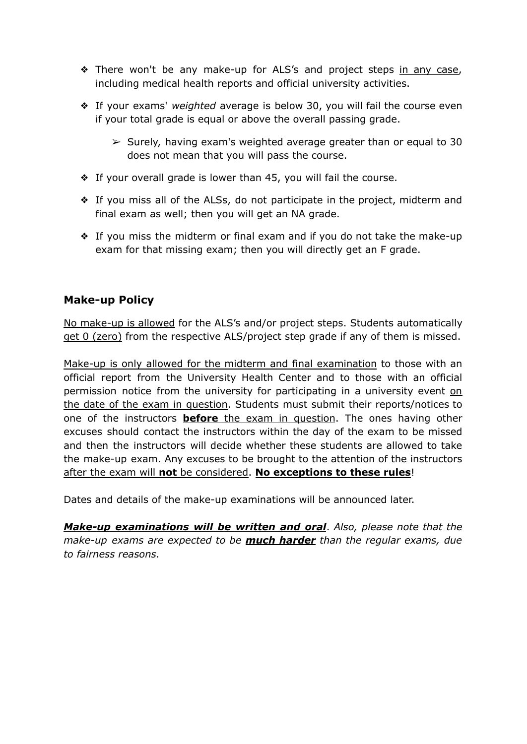- ◆ There won't be any make-up for ALS's and project steps in any case, including medical health reports and official university activities.
- ❖ If your exams' *weighted* average is below 30, you will fail the course even if your total grade is equal or above the overall passing grade.
	- $\geq$  Surely, having exam's weighted average greater than or equal to 30 does not mean that you will pass the course.
- ❖ If your overall grade is lower than 45, you will fail the course.
- ❖ If you miss all of the ALSs, do not participate in the project, midterm and final exam as well; then you will get an NA grade.
- ❖ If you miss the midterm or final exam and if you do not take the make-up exam for that missing exam; then you will directly get an F grade.

## **Make-up Policy**

No make-up is allowed for the ALS's and/or project steps. Students automatically get 0 (zero) from the respective ALS/project step grade if any of them is missed.

Make-up is only allowed for the midterm and final examination to those with an official report from the University Health Center and to those with an official permission notice from the university for participating in a university event on the date of the exam in question. Students must submit their reports/notices to one of the instructors **before** the exam in question. The ones having other excuses should contact the instructors within the day of the exam to be missed and then the instructors will decide whether these students are allowed to take the make-up exam. Any excuses to be brought to the attention of the instructors after the exam will **not** be considered. **No exceptions to these rules**!

Dates and details of the make-up examinations will be announced later.

*Make-up examinations will be written and oral*. *Also, please note that the make-up exams are expected to be much harder than the regular exams, due to fairness reasons.*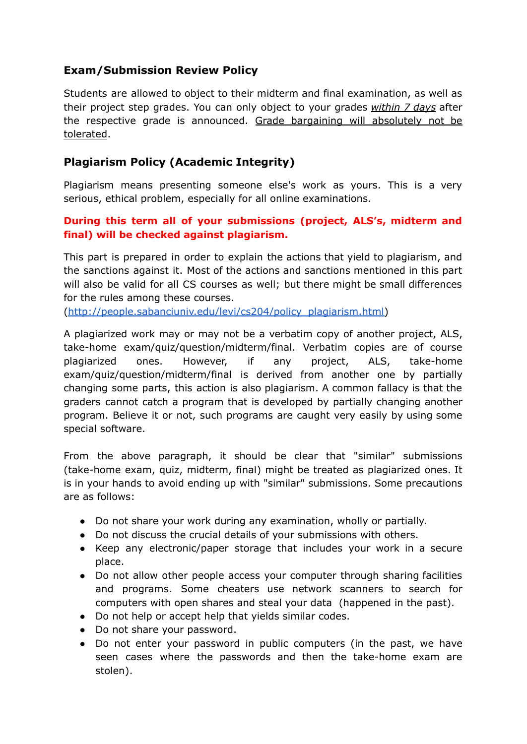# **Exam/Submission Review Policy**

Students are allowed to object to their midterm and final examination, as well as their project step grades. You can only object to your grades *within 7 days* after the respective grade is announced. Grade bargaining will absolutely not be tolerated.

# **Plagiarism Policy (Academic Integrity)**

Plagiarism means presenting someone else's work as yours. This is a very serious, ethical problem, especially for all online examinations.

### **During this term all of your submissions (project, ALS's, midterm and final) will be checked against plagiarism.**

This part is prepared in order to explain the actions that yield to plagiarism, and the sanctions against it. Most of the actions and sanctions mentioned in this part will also be valid for all CS courses as well; but there might be small differences for the rules among these courses.

([http://people.sabanciuniv.edu/levi/cs204/policy\\_plagiarism.html\)](http://people.sabanciuniv.edu/levi/cs204/policy_plagiarism.html)

A plagiarized work may or may not be a verbatim copy of another project, ALS, take-home exam/quiz/question/midterm/final. Verbatim copies are of course plagiarized ones. However, if any project, ALS, take-home exam/quiz/question/midterm/final is derived from another one by partially changing some parts, this action is also plagiarism. A common fallacy is that the graders cannot catch a program that is developed by partially changing another program. Believe it or not, such programs are caught very easily by using some special software.

From the above paragraph, it should be clear that "similar" submissions (take-home exam, quiz, midterm, final) might be treated as plagiarized ones. It is in your hands to avoid ending up with "similar" submissions. Some precautions are as follows:

- Do not share your work during any examination, wholly or partially.
- Do not discuss the crucial details of your submissions with others.
- Keep any electronic/paper storage that includes your work in a secure place.
- Do not allow other people access your computer through sharing facilities and programs. Some cheaters use network scanners to search for computers with open shares and steal your data (happened in the past).
- Do not help or accept help that yields similar codes.
- Do not share your password.
- Do not enter your password in public computers (in the past, we have seen cases where the passwords and then the take-home exam are stolen).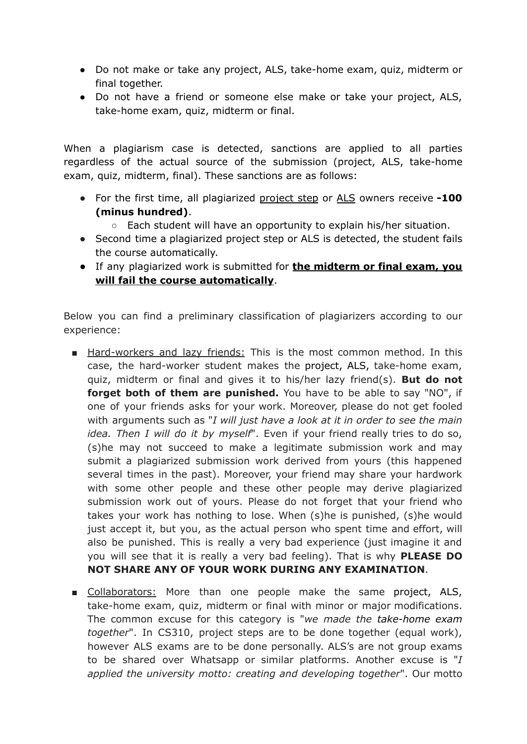- Do not make or take any project, ALS, take-home exam, quiz, midterm or final together.
- Do not have a friend or someone else make or take your project, ALS, take-home exam, quiz, midterm or final.

When a plagiarism case is detected, sanctions are applied to all parties regardless of the actual source of the submission (project, ALS, take-home exam, quiz, midterm, final). These sanctions are as follows:

- For the first time, all plagiarized project step or ALS owners receive **-100 (minus hundred)**.
	- $\circ$  Each student will have an opportunity to explain his/her situation.
- Second time a plagiarized project step or ALS is detected, the student fails the course automatically.
- If any plagiarized work is submitted for **the midterm or final exam, you will fail the course automatically**.

Below you can find a preliminary classification of plagiarizers according to our experience:

- Hard-workers and lazy friends: This is the most common method. In this case, the hard-worker student makes the project, ALS, take-home exam, quiz, midterm or final and gives it to his/her lazy friend(s). **But do not forget both of them are punished.** You have to be able to say "NO", if one of your friends asks for your work. Moreover, please do not get fooled with arguments such as "*I will just have a look at it in order to see the main idea. Then I will do it by myself*". Even if your friend really tries to do so, (s)he may not succeed to make a legitimate submission work and may submit a plagiarized submission work derived from yours (this happened several times in the past). Moreover, your friend may share your hardwork with some other people and these other people may derive plagiarized submission work out of yours. Please do not forget that your friend who takes your work has nothing to lose. When (s)he is punished, (s)he would just accept it, but you, as the actual person who spent time and effort, will also be punished. This is really a very bad experience (just imagine it and you will see that it is really a very bad feeling). That is why **PLEASE DO NOT SHARE ANY OF YOUR WORK DURING ANY EXAMINATION**.
- Collaborators: More than one people make the same project, ALS, take-home exam, quiz, midterm or final with minor or major modifications. The common excuse for this category is "*we made the take-home exam together*". In CS310, project steps are to be done together (equal work), however ALS exams are to be done personally. ALS's are not group exams to be shared over Whatsapp or similar platforms. Another excuse is "*I applied the university motto: creating and developing together*". Our motto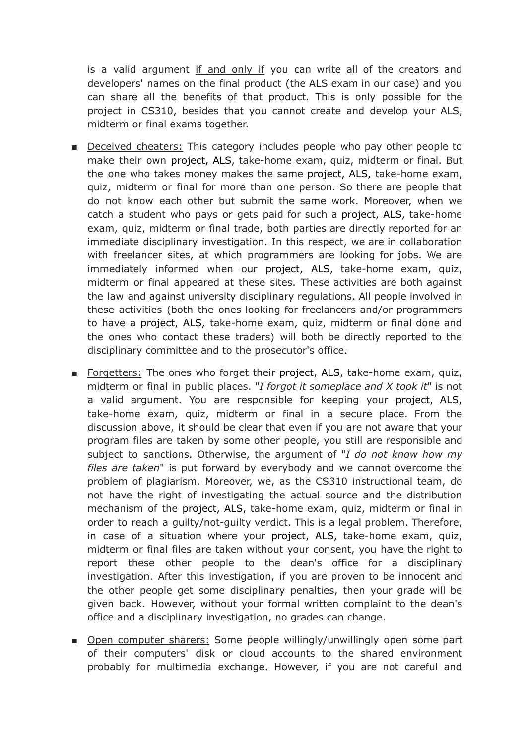is a valid argument if and only if you can write all of the creators and developers' names on the final product (the ALS exam in our case) and you can share all the benefits of that product. This is only possible for the project in CS310, besides that you cannot create and develop your ALS, midterm or final exams together.

- Deceived cheaters: This category includes people who pay other people to make their own project, ALS, take-home exam, quiz, midterm or final. But the one who takes money makes the same project, ALS, take-home exam, quiz, midterm or final for more than one person. So there are people that do not know each other but submit the same work. Moreover, when we catch a student who pays or gets paid for such a project, ALS, take-home exam, quiz, midterm or final trade, both parties are directly reported for an immediate disciplinary investigation. In this respect, we are in collaboration with freelancer sites, at which programmers are looking for jobs. We are immediately informed when our project, ALS, take-home exam, quiz, midterm or final appeared at these sites. These activities are both against the law and against university disciplinary regulations. All people involved in these activities (both the ones looking for freelancers and/or programmers to have a project, ALS, take-home exam, quiz, midterm or final done and the ones who contact these traders) will both be directly reported to the disciplinary committee and to the prosecutor's office.
- Forgetters: The ones who forget their project, ALS, take-home exam, quiz, midterm or final in public places. "*I forgot it someplace and X took it*" is not a valid argument. You are responsible for keeping your project, ALS, take-home exam, quiz, midterm or final in a secure place. From the discussion above, it should be clear that even if you are not aware that your program files are taken by some other people, you still are responsible and subject to sanctions. Otherwise, the argument of "*I do not know how my files are taken*" is put forward by everybody and we cannot overcome the problem of plagiarism. Moreover, we, as the CS310 instructional team, do not have the right of investigating the actual source and the distribution mechanism of the project, ALS, take-home exam, quiz, midterm or final in order to reach a guilty/not-guilty verdict. This is a legal problem. Therefore, in case of a situation where your project, ALS, take-home exam, quiz, midterm or final files are taken without your consent, you have the right to report these other people to the dean's office for a disciplinary investigation. After this investigation, if you are proven to be innocent and the other people get some disciplinary penalties, then your grade will be given back. However, without your formal written complaint to the dean's office and a disciplinary investigation, no grades can change.
- Open computer sharers: Some people willingly/unwillingly open some part of their computers' disk or cloud accounts to the shared environment probably for multimedia exchange. However, if you are not careful and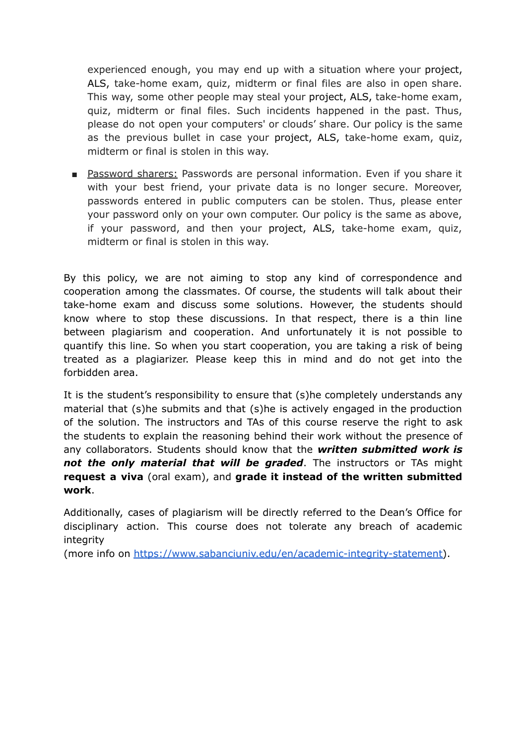experienced enough, you may end up with a situation where your project, ALS, take-home exam, quiz, midterm or final files are also in open share. This way, some other people may steal your project, ALS, take-home exam, quiz, midterm or final files. Such incidents happened in the past. Thus, please do not open your computers' or clouds' share. Our policy is the same as the previous bullet in case your project, ALS, take-home exam, quiz, midterm or final is stolen in this way.

■ Password sharers: Passwords are personal information. Even if you share it with your best friend, your private data is no longer secure. Moreover, passwords entered in public computers can be stolen. Thus, please enter your password only on your own computer. Our policy is the same as above, if your password, and then your project, ALS, take-home exam, quiz, midterm or final is stolen in this way.

By this policy, we are not aiming to stop any kind of correspondence and cooperation among the classmates. Of course, the students will talk about their take-home exam and discuss some solutions. However, the students should know where to stop these discussions. In that respect, there is a thin line between plagiarism and cooperation. And unfortunately it is not possible to quantify this line. So when you start cooperation, you are taking a risk of being treated as a plagiarizer. Please keep this in mind and do not get into the forbidden area.

It is the student's responsibility to ensure that (s)he completely understands any material that (s)he submits and that (s)he is actively engaged in the production of the solution. The instructors and TAs of this course reserve the right to ask the students to explain the reasoning behind their work without the presence of any collaborators. Students should know that the *written submitted work is not the only material that will be graded*. The instructors or TAs might **request a viva** (oral exam), and **grade it instead of the written submitted work**.

Additionally, cases of plagiarism will be directly referred to the Dean's Office for disciplinary action. This course does not tolerate any breach of academic integrity

(more info on [https://www.sabanciuniv.edu/en/academic-integrity-statement\)](https://www.sabanciuniv.edu/en/academic-integrity-statement).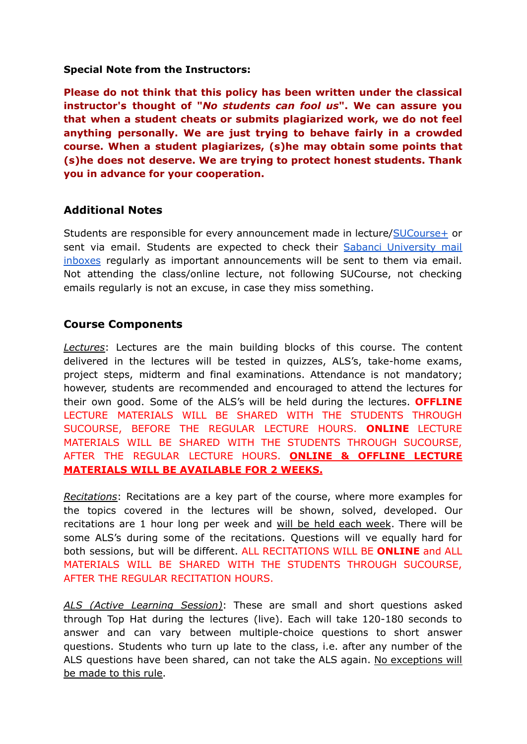#### **Special Note from the Instructors:**

**Please do not think that this policy has been written under the classical instructor's thought of "***No students can fool us***". We can assure you that when a student cheats or submits plagiarized work, we do not feel anything personally. We are just trying to behave fairly in a crowded course. When a student plagiarizes, (s)he may obtain some points that (s)he does not deserve. We are trying to protect honest students. Thank you in advance for your cooperation.**

#### **Additional Notes**

Students are responsible for every announcement made in lecture/[SUCourse+](https://sucourse.sabanciuniv.edu/plus) or sent via email. Students are expected to check their Sabanci [University](https://mymail.sabanciuniv.edu) mail [inboxes](https://mymail.sabanciuniv.edu) regularly as important announcements will be sent to them via email. Not attending the class/online lecture, not following SUCourse, not checking emails regularly is not an excuse, in case they miss something.

#### **Course Components**

*Lectures*: Lectures are the main building blocks of this course. The content delivered in the lectures will be tested in quizzes, ALS's, take-home exams, project steps, midterm and final examinations. Attendance is not mandatory; however, students are recommended and encouraged to attend the lectures for their own good. Some of the ALS's will be held during the lectures. **OFFLINE** LECTURE MATERIALS WILL BE SHARED WITH THE STUDENTS THROUGH SUCOURSE, BEFORE THE REGULAR LECTURE HOURS. **ONLINE** LECTURE MATERIALS WILL BE SHARED WITH THE STUDENTS THROUGH SUCOURSE, AFTER THE REGULAR LECTURE HOURS. **ONLINE & OFFLINE LECTURE MATERIALS WILL BE AVAILABLE FOR 2 WEEKS.**

*Recitations*: Recitations are a key part of the course, where more examples for the topics covered in the lectures will be shown, solved, developed. Our recitations are 1 hour long per week and will be held each week. There will be some ALS's during some of the recitations. Questions will ve equally hard for both sessions, but will be different. ALL RECITATIONS WILL BE **ONLINE** and ALL MATERIALS WILL BE SHARED WITH THE STUDENTS THROUGH SUCOURSE, AFTER THE REGULAR RECITATION HOURS.

*ALS (Active Learning Session)*: These are small and short questions asked through Top Hat during the lectures (live). Each will take 120-180 seconds to answer and can vary between multiple-choice questions to short answer questions. Students who turn up late to the class, i.e. after any number of the ALS questions have been shared, can not take the ALS again. No exceptions will be made to this rule.